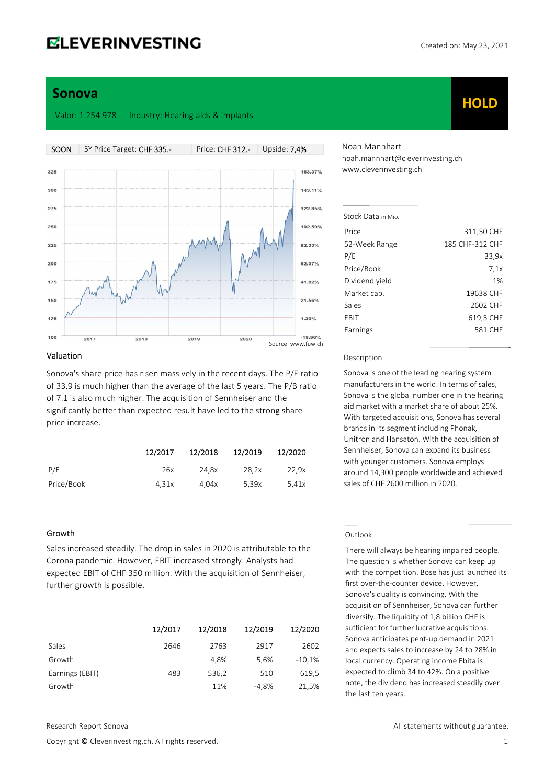## **ELEVERINVESTING**

**HOLD** 

## Sonova

Valor: 1 254 978 Industry: Hearing aids & implants

SOON 5Y Price Target: CHF 335.- Price: CHF 312.- Upside: 7,4%  $325$ 163 37%  $300$ 143.11%  $275$ 122.85% 250 102.59%  $225$ 82339  $200$ 62.07% 175 41.82% 150 21.56%  $125$  $1.300/$  $100$  $-18.96%$  $201$ 2018 2019  $2020$ Source: www.fuw.ch

#### Valuation

Sonova's share price has risen massively in the recent days. The P/E ratio of 33.9 is much higher than the average of the last 5 years. The P/B ratio of 7.1 is also much higher. The acquisition of Sennheiser and the significantly better than expected result have led to the strong share price increase.

|            | 12/2017 | 12/2018 | 12/2019 | 12/2020 |
|------------|---------|---------|---------|---------|
| P/E        | 26x     | 24.8x   | 28.2x   | 22.9x   |
| Price/Book | 4.31x   | 4.04x   | 5.39x   | 5.41x   |

#### Growth

Sales increased steadily. The drop in sales in 2020 is attributable to the Corona pandemic. However, EBIT increased strongly. Analysts had expected EBIT of CHF 350 million. With the acquisition of Sennheiser, further growth is possible.

|                 | 12/2017 | 12/2018 | 12/2019 | 12/2020  |
|-----------------|---------|---------|---------|----------|
| Sales           | 2646    | 2763    | 2917    | 2602     |
| Growth          |         | 4.8%    | 5.6%    | $-10,1%$ |
| Earnings (EBIT) | 483     | 536,2   | 510     | 619,5    |
| Growth          |         | 11%     | $-4,8%$ | 21,5%    |

Copyright © Cleverinvesting.ch. All rights reserved. 1

Noah Mannhart noah.mannhart@cleverinvesting.ch www.cleverinvesting.ch

| Price<br>311,50 CHF<br>52-Week Range<br>185 CHF-312 CHF<br>P/E<br>33,9x<br>Price/Book<br>7.1x<br>Dividend yield<br>1%<br>Market cap.<br>19638 CHF<br>Sales<br>2602 CHF<br>EBIT<br>619,5 CHF<br>581 CHF<br>Earnings | Stock Data in Mio |  |
|--------------------------------------------------------------------------------------------------------------------------------------------------------------------------------------------------------------------|-------------------|--|
|                                                                                                                                                                                                                    |                   |  |
|                                                                                                                                                                                                                    |                   |  |
|                                                                                                                                                                                                                    |                   |  |
|                                                                                                                                                                                                                    |                   |  |
|                                                                                                                                                                                                                    |                   |  |
|                                                                                                                                                                                                                    |                   |  |
|                                                                                                                                                                                                                    |                   |  |
|                                                                                                                                                                                                                    |                   |  |
|                                                                                                                                                                                                                    |                   |  |

#### Description

Sonova is one of the leading hearing system manufacturers in the world. In terms of sales, Sonova is the global number one in the hearing aid market with a market share of about 25%. With targeted acquisitions, Sonova has several brands in its segment including Phonak, Unitron and Hansaton. With the acquisition of Sennheiser, Sonova can expand its business with younger customers. Sonova employs around 14,300 people worldwide and achieved sales of CHF 2600 million in 2020.

#### Outlook

There will always be hearing impaired people. The question is whether Sonova can keep up with the competition. Bose has just launched its first over-the-counter device. However, Sonova's quality is convincing. With the acquisition of Sennheiser, Sonova can further diversify. The liquidity of 1,8 billion CHF is sufficient for further lucrative acquisitions. Sonova anticipates pent-up demand in 2021 and expects sales to increase by 24 to 28% in local currency. Operating income Ebita is expected to climb 34 to 42%. On a positive note, the dividend has increased steadily over the last ten years.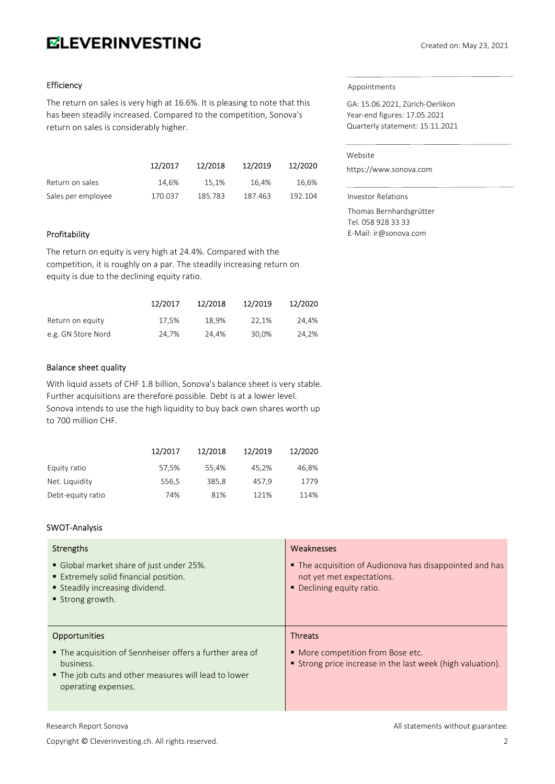# **ELEVERINVESTING**

## Efficiency

The return on sales is very high at 16.6%. It is pleasing to note that this has been steadily increased. Compared to the competition, Sonova's return on sales is considerably higher.

|                    | 12/2017 | 12/2018 | 12/2019 | 12/2020 |
|--------------------|---------|---------|---------|---------|
| Return on sales    | 14.6%   | 15.1%   | 16.4%   | 16,6%   |
| Sales per employee | 170.037 | 185.783 | 187.463 | 192.104 |

## Profitability

The return on equity is very high at 24.4%. Compared with the competition, it is roughly on a par. The steadily increasing return on equity is due to the declining equity ratio.

|                    | 12/2017 | 12/2018 | 12/2019 | 12/2020 |
|--------------------|---------|---------|---------|---------|
| Return on equity   | 17.5%   | 18.9%   | 22.1%   | 24.4%   |
| e.g. GN Store Nord | 24,7%   | 24.4%   | 30,0%   | 24,2%   |

## Balance sheet quality

With liquid assets of CHF 1.8 billion, Sonova's balance sheet is very stable. Further acquisitions are therefore possible. Debt is at a lower level. Sonova intends to use the high liquidity to buy back own shares worth up to 700 million CHF.

|                   | 12/2017 | 12/2018 | 12/2019 | 12/2020 |
|-------------------|---------|---------|---------|---------|
| Equity ratio      | 57,5%   | 55.4%   | 45.2%   | 46.8%   |
| Net. Liquidity    | 556,5   | 385,8   | 457.9   | 1779    |
| Debt-equity ratio | 74%     | 81%     | 121%    | 114%    |

## SWOT-Analysis

| <b>Strengths</b>                                                                                                                                     | Weaknesses                                                                                                        |
|------------------------------------------------------------------------------------------------------------------------------------------------------|-------------------------------------------------------------------------------------------------------------------|
| • Global market share of just under 25%.<br><b>Extremely solid financial position.</b><br>Steadily increasing dividend.<br>■ Strong growth.          | • The acquisition of Audionova has disappointed and has<br>not yet met expectations.<br>• Declining equity ratio. |
| <b>Opportunities</b>                                                                                                                                 | <b>Threats</b>                                                                                                    |
| • The acquisition of Sennheiser offers a further area of<br>business.<br>■ The job cuts and other measures will lead to lower<br>operating expenses. | • More competition from Bose etc.<br>■ Strong price increase in the last week (high valuation).                   |

#### Appointments

GA: 15.06.2021, Zürich-Oerlikon Year-end figures: 17.05.2021 Quarterly statement: 15.11.2021

#### Website

https://www.sonova.com

Investor Relations Thomas Bernhardsgrütter Tel. 058 928 33 33 E-Mail: ir@sonova.com